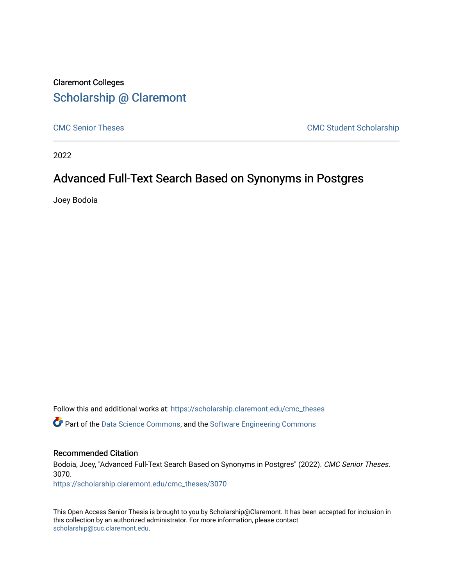# Claremont Colleges [Scholarship @ Claremont](https://scholarship.claremont.edu/)

[CMC Senior Theses](https://scholarship.claremont.edu/cmc_theses) CMC Student Scholarship

2022

## Advanced Full-Text Search Based on Synonyms in Postgres

Joey Bodoia

Follow this and additional works at: [https://scholarship.claremont.edu/cmc\\_theses](https://scholarship.claremont.edu/cmc_theses?utm_source=scholarship.claremont.edu%2Fcmc_theses%2F3070&utm_medium=PDF&utm_campaign=PDFCoverPages)  Part of the [Data Science Commons,](https://network.bepress.com/hgg/discipline/1429?utm_source=scholarship.claremont.edu%2Fcmc_theses%2F3070&utm_medium=PDF&utm_campaign=PDFCoverPages) and the [Software Engineering Commons](https://network.bepress.com/hgg/discipline/150?utm_source=scholarship.claremont.edu%2Fcmc_theses%2F3070&utm_medium=PDF&utm_campaign=PDFCoverPages)

#### Recommended Citation

Bodoia, Joey, "Advanced Full-Text Search Based on Synonyms in Postgres" (2022). CMC Senior Theses. 3070.

[https://scholarship.claremont.edu/cmc\\_theses/3070](https://scholarship.claremont.edu/cmc_theses/3070?utm_source=scholarship.claremont.edu%2Fcmc_theses%2F3070&utm_medium=PDF&utm_campaign=PDFCoverPages) 

This Open Access Senior Thesis is brought to you by Scholarship@Claremont. It has been accepted for inclusion in this collection by an authorized administrator. For more information, please contact [scholarship@cuc.claremont.edu.](mailto:scholarship@cuc.claremont.edu)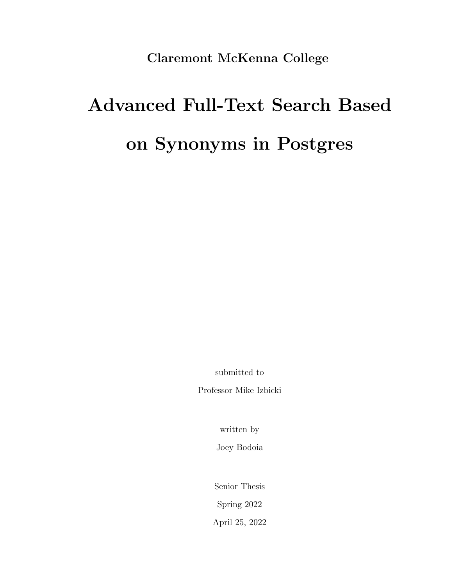Claremont McKenna College

# Advanced Full-Text Search Based on Synonyms in Postgres

submitted to

Professor Mike Izbicki

written by

Joey Bodoia

Senior Thesis Spring 2022 April 25, 2022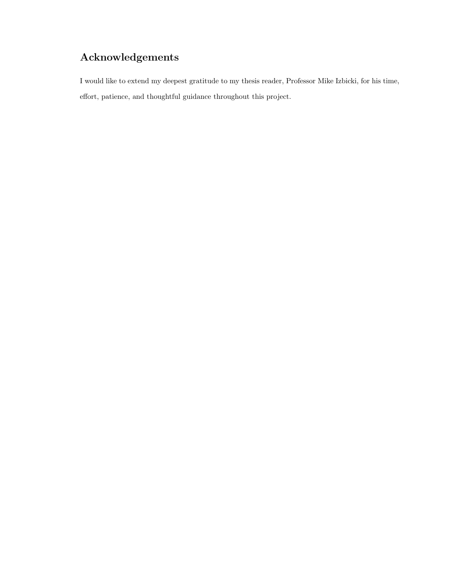# Acknowledgements

I would like to extend my deepest gratitude to my thesis reader, Professor Mike Izbicki, for his time, effort, patience, and thoughtful guidance throughout this project.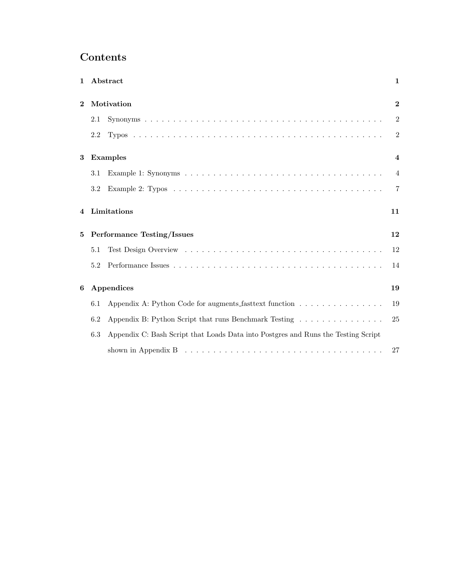## Contents

| $\mathbf{1}$   |                                   | Abstract                                                                                           | $\mathbf 1$             |
|----------------|-----------------------------------|----------------------------------------------------------------------------------------------------|-------------------------|
| $\overline{2}$ | Motivation                        |                                                                                                    | $\mathbf{2}$            |
|                | 2.1                               |                                                                                                    | $\overline{2}$          |
|                | 2.2                               |                                                                                                    | $\sqrt{2}$              |
| 3              | <b>Examples</b>                   |                                                                                                    | $\overline{\mathbf{4}}$ |
|                | 3.1                               |                                                                                                    | $\overline{4}$          |
|                | 3.2                               |                                                                                                    | $\overline{7}$          |
| 4              |                                   | Limitations                                                                                        | 11                      |
| 5              | <b>Performance Testing/Issues</b> |                                                                                                    | 12                      |
|                | 5.1                               |                                                                                                    | 12                      |
|                | 5.2                               |                                                                                                    | 14                      |
| 6              | Appendices                        |                                                                                                    | 19                      |
|                | 6.1                               | Appendix A: Python Code for augments fastext function                                              | 19                      |
|                | 6.2                               | Appendix B: Python Script that runs Benchmark Testing                                              | 25                      |
|                | 6.3                               | Appendix C: Bash Script that Loads Data into Postgres and Runs the Testing Script                  |                         |
|                |                                   | shown in Appendix B $\ldots \ldots \ldots \ldots \ldots \ldots \ldots \ldots \ldots \ldots \ldots$ | 27                      |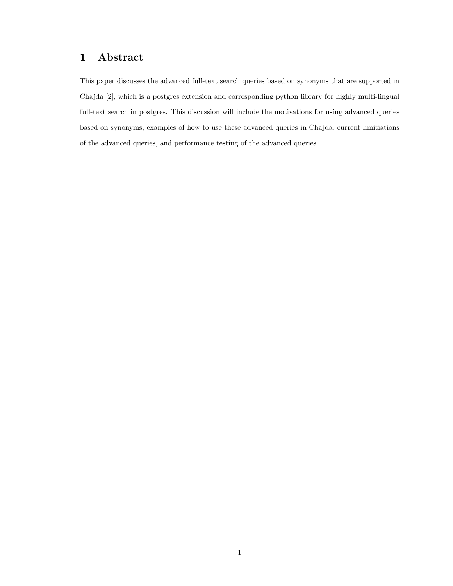## 1 Abstract

This paper discusses the advanced full-text search queries based on synonyms that are supported in Chajda [2], which is a postgres extension and corresponding python library for highly multi-lingual full-text search in postgres. This discussion will include the motivations for using advanced queries based on synonyms, examples of how to use these advanced queries in Chajda, current limitiations of the advanced queries, and performance testing of the advanced queries.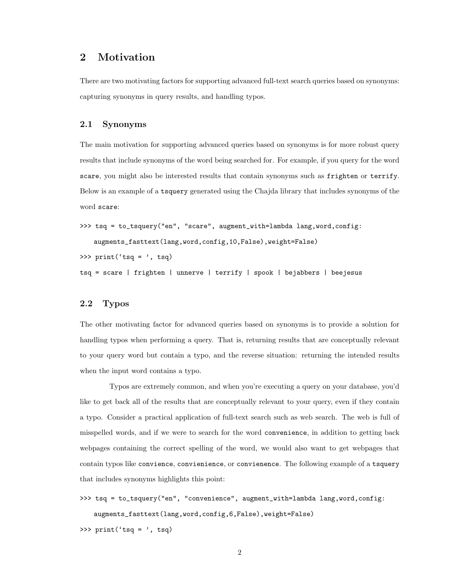## 2 Motivation

There are two motivating factors for supporting advanced full-text search queries based on synonyms: capturing synonyms in query results, and handling typos.

#### 2.1 Synonyms

The main motivation for supporting advanced queries based on synonyms is for more robust query results that include synonyms of the word being searched for. For example, if you query for the word scare, you might also be interested results that contain synonyms such as frighten or terrify. Below is an example of a tsquery generated using the Chajda library that includes synonyms of the word scare:

```
>>> tsq = to_tsquery("en", "scare", augment_with=lambda lang,word,config:
   augments_fasttext(lang,word,config,10,False),weight=False)
```

```
>>> print('tsq = ', tsq)
```
tsq = scare | frighten | unnerve | terrify | spook | bejabbers | beejesus

#### 2.2 Typos

The other motivating factor for advanced queries based on synonyms is to provide a solution for handling typos when performing a query. That is, returning results that are conceptually relevant to your query word but contain a typo, and the reverse situation: returning the intended results when the input word contains a typo.

Typos are extremely common, and when you're executing a query on your database, you'd like to get back all of the results that are conceptually relevant to your query, even if they contain a typo. Consider a practical application of full-text search such as web search. The web is full of misspelled words, and if we were to search for the word convenience, in addition to getting back webpages containing the correct spelling of the word, we would also want to get webpages that contain typos like convience, convienience, or convienence. The following example of a tsquery that includes synonyms highlights this point:

```
>>> tsq = to_tsquery("en", "convenience", augment_with=lambda lang,word,config:
   augments_fasttext(lang,word,config,6,False),weight=False)
```
>>> print('tsq = ', tsq)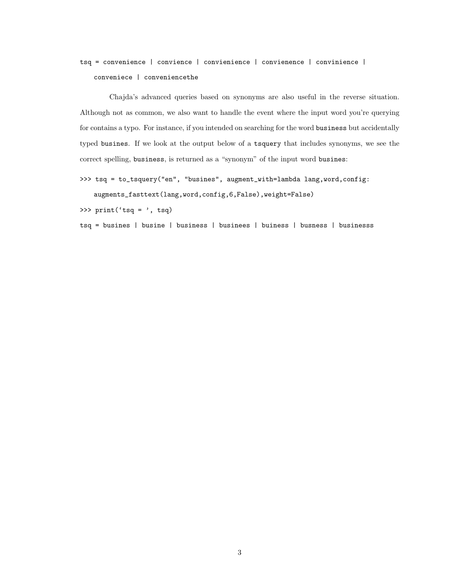## tsq = convenience | convience | convienience | convienence | convinience | conveniece | conveniencethe

Chajda's advanced queries based on synonyms are also useful in the reverse situation. Although not as common, we also want to handle the event where the input word you're querying for contains a typo. For instance, if you intended on searching for the word business but accidentally typed busines. If we look at the output below of a tsquery that includes synonyms, we see the correct spelling, business, is returned as a "synonym" of the input word busines:

```
>>> tsq = to_tsquery("en", "busines", augment_with=lambda lang, word, config:
```
augments\_fasttext(lang,word,config,6,False),weight=False)

>>> print('tsq = ', tsq)

tsq = busines | busine | business | businees | buiness | busness | businesss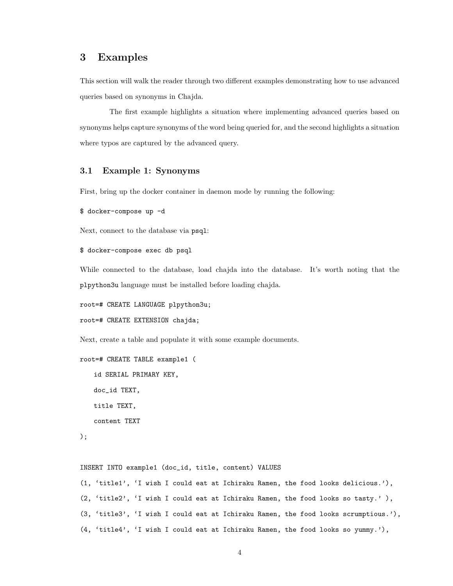## 3 Examples

This section will walk the reader through two different examples demonstrating how to use advanced queries based on synonyms in Chajda.

The first example highlights a situation where implementing advanced queries based on synonyms helps capture synonyms of the word being queried for, and the second highlights a situation where typos are captured by the advanced query.

#### 3.1 Example 1: Synonyms

First, bring up the docker container in daemon mode by running the following:

```
$ docker-compose up -d
```
Next, connect to the database via psql:

```
$ docker-compose exec db psql
```
While connected to the database, load chajda into the database. It's worth noting that the plpython3u language must be installed before loading chajda.

root=# CREATE LANGUAGE plpython3u;

root=# CREATE EXTENSION chajda;

Next, create a table and populate it with some example documents.

```
root=# CREATE TABLE example1 (
```
id SERIAL PRIMARY KEY, doc\_id TEXT, title TEXT, content TEXT

```
);
```
INSERT INTO example1 (doc\_id, title, content) VALUES

```
(1, 'title1', 'I wish I could eat at Ichiraku Ramen, the food looks delicious.'),
(2, 'title2', 'I wish I could eat at Ichiraku Ramen, the food looks so tasty.' ),
(3, 'title3', 'I wish I could eat at Ichiraku Ramen, the food looks scrumptious.'),
(4, 'title4', 'I wish I could eat at Ichiraku Ramen, the food looks so yummy.'),
```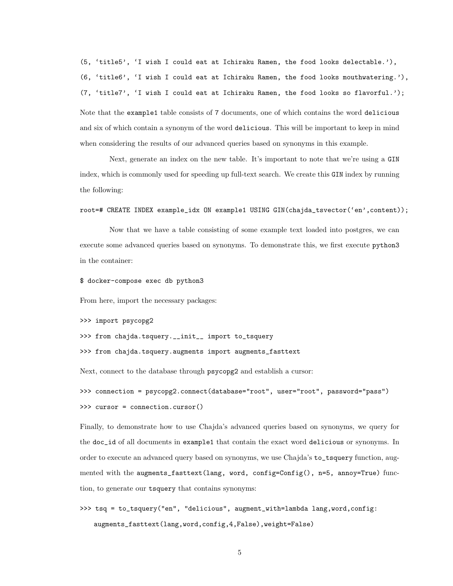(5, 'title5', 'I wish I could eat at Ichiraku Ramen, the food looks delectable.'), (6, 'title6', 'I wish I could eat at Ichiraku Ramen, the food looks mouthwatering.'), (7, 'title7', 'I wish I could eat at Ichiraku Ramen, the food looks so flavorful.'); Note that the example1 table consists of 7 documents, one of which contains the word delicious and six of which contain a synonym of the word delicious. This will be important to keep in mind when considering the results of our advanced queries based on synonyms in this example.

Next, generate an index on the new table. It's important to note that we're using a GIN index, which is commonly used for speeding up full-text search. We create this GIN index by running the following:

root=# CREATE INDEX example\_idx ON example1 USING GIN(chajda\_tsvector('en',content));

Now that we have a table consisting of some example text loaded into postgres, we can execute some advanced queries based on synonyms. To demonstrate this, we first execute python3 in the container:

\$ docker-compose exec db python3

From here, import the necessary packages:

```
>>> import psycopg2
```
>>> from chajda.tsquery.\_\_init\_\_ import to\_tsquery

>>> from chajda.tsquery.augments import augments\_fasttext

Next, connect to the database through psycopg2 and establish a cursor:

>>> connection = psycopg2.connect(database="root", user="root", password="pass") >>> cursor = connection.cursor()

Finally, to demonstrate how to use Chajda's advanced queries based on synonyms, we query for the doc\_id of all documents in example1 that contain the exact word delicious or synonyms. In order to execute an advanced query based on synonyms, we use Chajda's to\_tsquery function, augmented with the augments\_fasttext(lang, word, config=Config(), n=5, annoy=True) function, to generate our tsquery that contains synonyms:

>>> tsq = to\_tsquery("en", "delicious", augment\_with=lambda lang,word,config: augments\_fasttext(lang,word,config,4,False),weight=False)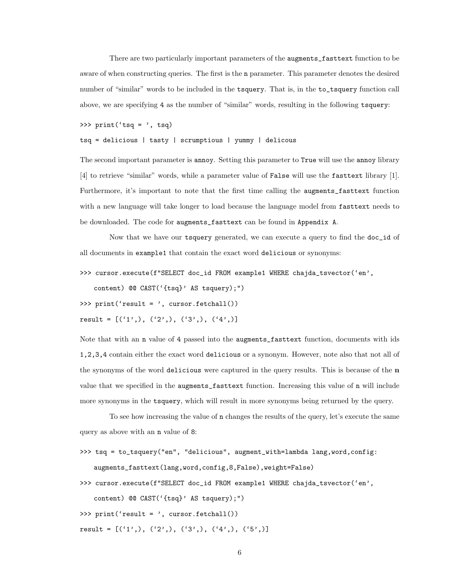There are two particularly important parameters of the augments\_fasttext function to be aware of when constructing queries. The first is the n parameter. This parameter denotes the desired number of "similar" words to be included in the tsquery. That is, in the to\_tsquery function call above, we are specifying 4 as the number of "similar" words, resulting in the following tsquery:

>>> print('tsq = ', tsq)

tsq = delicious | tasty | scrumptious | yummy | delicous

The second important parameter is annoy. Setting this parameter to True will use the annoy library [4] to retrieve "similar" words, while a parameter value of False will use the fasttext library [1]. Furthermore, it's important to note that the first time calling the augments\_fasttext function with a new language will take longer to load because the language model from fasttext needs to be downloaded. The code for augments\_fasttext can be found in Appendix A.

Now that we have our tsquery generated, we can execute a query to find the doc\_id of all documents in example1 that contain the exact word delicious or synonyms:

>>> cursor.execute(f"SELECT doc\_id FROM example1 WHERE chajda\_tsvector('en',

content) @@ CAST('{tsq}' AS tsquery);")

>>> print('result = ', cursor.fetchall())

```
result = [('1'), (('2'),), ('3'), ( '4', )]
```
Note that with an n value of 4 passed into the augments\_fasttext function, documents with ids 1,2,3,4 contain either the exact word delicious or a synonym. However, note also that not all of the synonyms of the word delicious were captured in the query results. This is because of the n value that we specified in the augments\_fasttext function. Increasing this value of n will include more synonyms in the tsquery, which will result in more synonyms being returned by the query.

To see how increasing the value of n changes the results of the query, let's execute the same query as above with an n value of 8:

```
>>> tsq = to_tsquery("en", "delicious", augment_with=lambda lang,word,config:
   augments_fasttext(lang,word,config,8,False),weight=False)
```
>>> cursor.execute(f"SELECT doc\_id FROM example1 WHERE chajda\_tsvector('en', content) @@ CAST('{tsq}' AS tsquery);")

```
>>> print('result = ', cursor.fetchall())
```

```
result = [('1'), (('2'),), ('3'), ( '4',), ('5', )]
```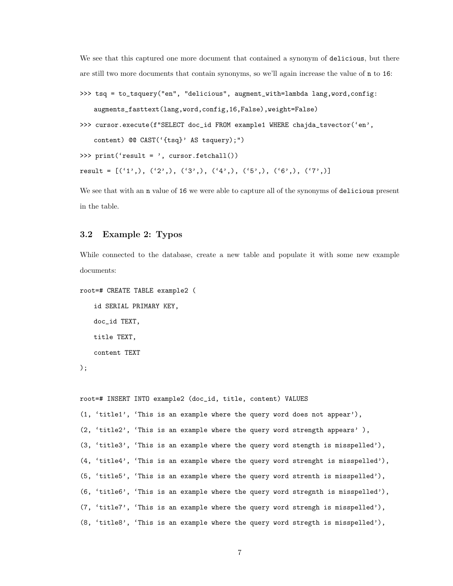We see that this captured one more document that contained a synonym of delicious, but there are still two more documents that contain synonyms, so we'll again increase the value of n to 16:

```
>>> tsq = to_tsquery("en", "delicious", augment_with=lambda lang,word,config:
   augments_fasttext(lang,word,config,16,False),weight=False)
```

```
>>> cursor.execute(f"SELECT doc_id FROM example1 WHERE chajda_tsvector('en',
```
content) @@ CAST('{tsq}' AS tsquery);")

```
>>> print('result = ', cursor.fetchall())
```

```
result = [('1'), ( '2'), ( '3',), ( '4'), ( '5'), ( '6',), ( '7', )]
```
We see that with an n value of 16 we were able to capture all of the synonyms of delicious present in the table.

#### 3.2 Example 2: Typos

While connected to the database, create a new table and populate it with some new example documents:

```
root=# CREATE TABLE example2 (
```
id SERIAL PRIMARY KEY, doc\_id TEXT, title TEXT, content TEXT

);

```
root=# INSERT INTO example2 (doc_id, title, content) VALUES
(1, 'title1', 'This is an example where the query word does not appear'),
(2, 'title2', 'This is an example where the query word strength appears' ),
(3, 'title3', 'This is an example where the query word stength is misspelled'),
(4, 'title4', 'This is an example where the query word strenght is misspelled'),
(5, 'title5', 'This is an example where the query word strenth is misspelled'),
(6, 'title6', 'This is an example where the query word stregnth is misspelled'),
(7, 'title7', 'This is an example where the query word strengh is misspelled'),
(8, 'title8', 'This is an example where the query word stregth is misspelled'),
```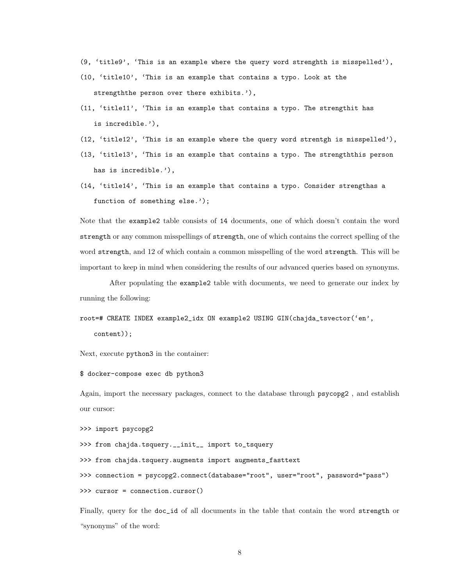- (9, 'title9', 'This is an example where the query word strenghth is misspelled'),
- (10, 'title10', 'This is an example that contains a typo. Look at the strengththe person over there exhibits.'),
- (11, 'title11', 'This is an example that contains a typo. The strengthit has is incredible.'),
- (12, 'title12', 'This is an example where the query word strentgh is misspelled'),
- (13, 'title13', 'This is an example that contains a typo. The strengththis person has is incredible.'),
- (14, 'title14', 'This is an example that contains a typo. Consider strengthas a function of something else.');

Note that the example2 table consists of 14 documents, one of which doesn't contain the word strength or any common misspellings of strength, one of which contains the correct spelling of the word strength, and 12 of which contain a common misspelling of the word strength. This will be important to keep in mind when considering the results of our advanced queries based on synonyms.

After populating the example2 table with documents, we need to generate our index by running the following:

```
root=# CREATE INDEX example2_idx ON example2 USING GIN(chajda_tsvector('en',
```
content));

Next, execute python3 in the container:

```
$ docker-compose exec db python3
```
Again, import the necessary packages, connect to the database through psycopg2 , and establish our cursor:

```
>>> import psycopg2
```
>>> from chajda.tsquery.\_\_init\_\_ import to\_tsquery

>>> from chajda.tsquery.augments import augments\_fasttext

>>> connection = psycopg2.connect(database="root", user="root", password="pass")

>>> cursor = connection.cursor()

Finally, query for the doc\_id of all documents in the table that contain the word strength or "synonyms" of the word: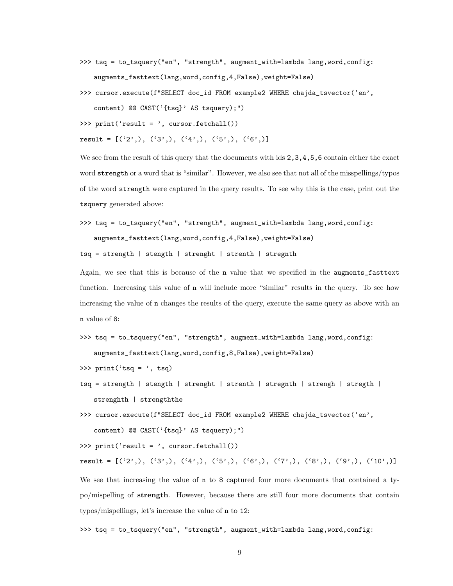- >>> tsq = to\_tsquery("en", "strength", augment\_with=lambda lang,word,config: augments\_fasttext(lang,word,config,4,False),weight=False)
- >>> cursor.execute(f"SELECT doc\_id FROM example2 WHERE chajda\_tsvector('en', content) @@ CAST('{tsq}' AS tsquery);")

```
>>> print('result = ', cursor.fetchall())
```

```
result = [('2',), ('3',), ('4',), ('5',), ('6',)]
```
We see from the result of this query that the documents with ids  $2,3,4,5,6$  contain either the exact word strength or a word that is "similar". However, we also see that not all of the misspellings/typos of the word strength were captured in the query results. To see why this is the case, print out the tsquery generated above:

```
>>> tsq = to_tsquery("en", "strength", augment_with=lambda lang,word,config:
   augments_fasttext(lang,word,config,4,False),weight=False)
```
tsq = strength | stength | strenght | strenth | stregnth

Again, we see that this is because of the n value that we specified in the augments\_fasttext function. Increasing this value of n will include more "similar" results in the query. To see how increasing the value of n changes the results of the query, execute the same query as above with an n value of 8:

```
>>> tsq = to_tsquery("en", "strength", augment_with=lambda lang,word,config:
   augments_fasttext(lang,word,config,8,False),weight=False)
```

```
>>> print('tsq = ', tsq)
```
- tsq = strength | stength | strenght | strenth | stregnth | strengh | stregth | strenghth | strengththe
- >>> cursor.execute(f"SELECT doc\_id FROM example2 WHERE chajda\_tsvector('en', content) @@ CAST('{tsq}' AS tsquery);")

>>> print('result = ', cursor.fetchall())

```
result = [('2',), ('3',), ('4',), ('5',), ('6',), ('7',), ('8',), ('9',), ('10',)]
```
We see that increasing the value of  $n \times 8$  captured four more documents that contained a typo/mispelling of strength. However, because there are still four more documents that contain typos/mispellings, let's increase the value of n to 12:

>>> tsq = to\_tsquery("en", "strength", augment\_with=lambda lang,word,config: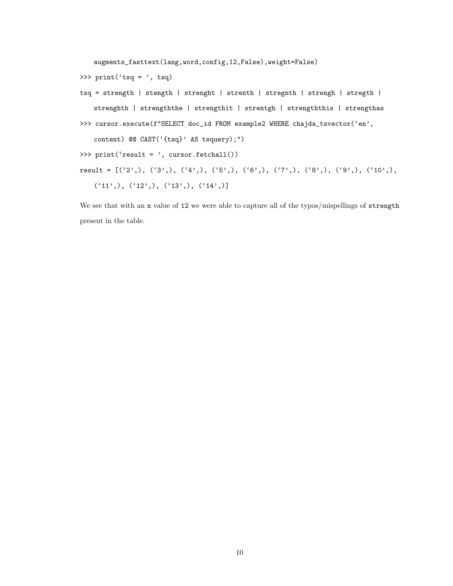augments\_fasttext(lang,word,config,12,False),weight=False)

>>> print('tsq = ', tsq)

tsq = strength | stength | strenght | strenth | stregnth | strengh | stregth | strenghth | strengththe | strengthit | strentgh | strengththis | strengthas >>> cursor.execute(f"SELECT doc\_id FROM example2 WHERE chajda\_tsvector('en', content) @@ CAST('{tsq}' AS tsquery);") >>> print('result = ', cursor.fetchall()) result = [('2',), ('3',), ('4',), ('5',), ('6',), ('7',), ('8',), ('9',), ('10',), ('11',), ('12',), ('13',), ('14',)]

We see that with an n value of 12 we were able to capture all of the typos/mispellings of strength present in the table.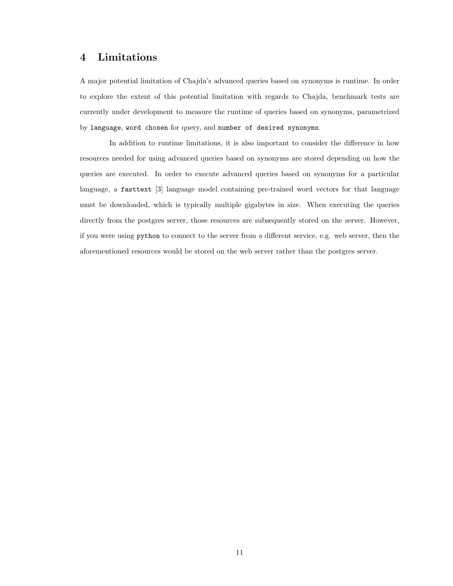## 4 Limitations

A major potential limitation of Chajda's advanced queries based on synonyms is runtime. In order to explore the extent of this potential limitation with regards to Chajda, benchmark tests are currently under development to measure the runtime of queries based on synonyms, parametrized by language, word chosen for query, and number of desired synonyms.

In addition to runtime limitations, it is also important to consider the difference in how resources needed for using advanced queries based on synonyms are stored depending on how the queries are executed. In order to execute advanced queries based on synonyms for a particular language, a fasttext [3] language model containing pre-trained word vectors for that language must be downloaded, which is typically multiple gigabytes in size. When executing the queries directly from the postgres server, those resources are subsequently stored on the server. However, if you were using python to connect to the server from a different service, e.g. web server, then the aforementioned resources would be stored on the web server rather than the postgres server.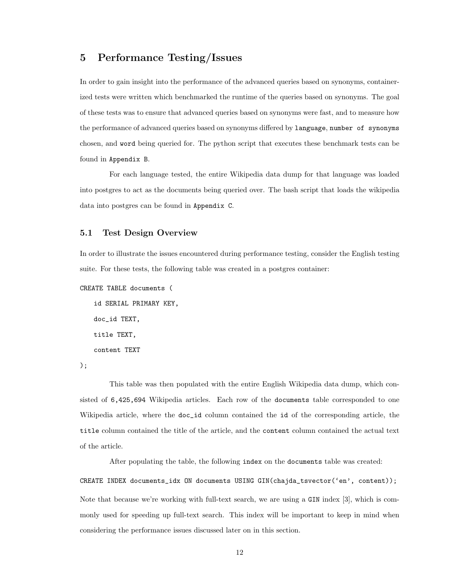## 5 Performance Testing/Issues

In order to gain insight into the performance of the advanced queries based on synonyms, containerized tests were written which benchmarked the runtime of the queries based on synonyms. The goal of these tests was to ensure that advanced queries based on synonyms were fast, and to measure how the performance of advanced queries based on synonyms differed by language, number of synonyms chosen, and word being queried for. The python script that executes these benchmark tests can be found in Appendix B.

For each language tested, the entire Wikipedia data dump for that language was loaded into postgres to act as the documents being queried over. The bash script that loads the wikipedia data into postgres can be found in Appendix C.

#### 5.1 Test Design Overview

In order to illustrate the issues encountered during performance testing, consider the English testing suite. For these tests, the following table was created in a postgres container:

```
CREATE TABLE documents (
```

```
id SERIAL PRIMARY KEY,
doc_id TEXT,
title TEXT,
content TEXT
```
);

This table was then populated with the entire English Wikipedia data dump, which consisted of 6,425,694 Wikipedia articles. Each row of the documents table corresponded to one Wikipedia article, where the doc\_id column contained the id of the corresponding article, the title column contained the title of the article, and the content column contained the actual text of the article.

After populating the table, the following index on the documents table was created: CREATE INDEX documents\_idx ON documents USING GIN(chajda\_tsvector('en', content)); Note that because we're working with full-text search, we are using a GIN index [3], which is commonly used for speeding up full-text search. This index will be important to keep in mind when considering the performance issues discussed later on in this section.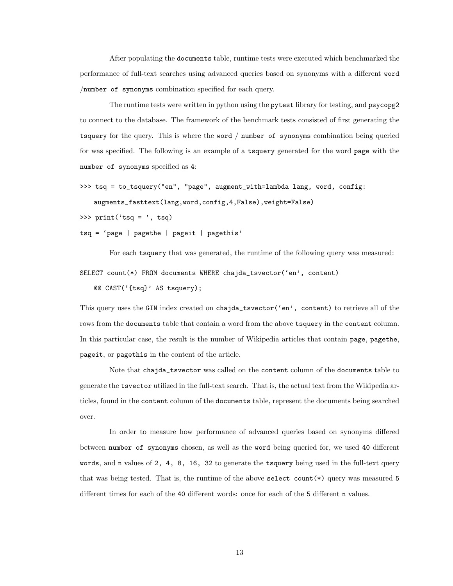After populating the documents table, runtime tests were executed which benchmarked the performance of full-text searches using advanced queries based on synonyms with a different word /number of synonyms combination specified for each query.

The runtime tests were written in python using the pytest library for testing, and psycopg2 to connect to the database. The framework of the benchmark tests consisted of first generating the tsquery for the query. This is where the word / number of synonyms combination being queried for was specified. The following is an example of a tsquery generated for the word page with the number of synonyms specified as 4:

```
>>> tsq = to_tsquery("en", "page", augment_with=lambda lang, word, config:
   augments_fasttext(lang,word,config,4,False),weight=False)
```
>>>  $print('tsq = ', tsq)$ 

tsq = 'page | pagethe | pageit | pagethis'

For each tsquery that was generated, the runtime of the following query was measured:

SELECT count(\*) FROM documents WHERE chajda\_tsvector('en', content)

@@ CAST('{tsq}' AS tsquery);

This query uses the GIN index created on chajda\_tsvector('en', content) to retrieve all of the rows from the documents table that contain a word from the above tsquery in the content column. In this particular case, the result is the number of Wikipedia articles that contain page, pagethe, pageit, or pagethis in the content of the article.

Note that chajda\_tsvector was called on the content column of the documents table to generate the tsvector utilized in the full-text search. That is, the actual text from the Wikipedia articles, found in the content column of the documents table, represent the documents being searched over.

In order to measure how performance of advanced queries based on synonyms differed between number of synonyms chosen, as well as the word being queried for, we used 40 different words, and n values of 2, 4, 8, 16, 32 to generate the tsquery being used in the full-text query that was being tested. That is, the runtime of the above select count(\*) query was measured 5 different times for each of the 40 different words: once for each of the 5 different n values.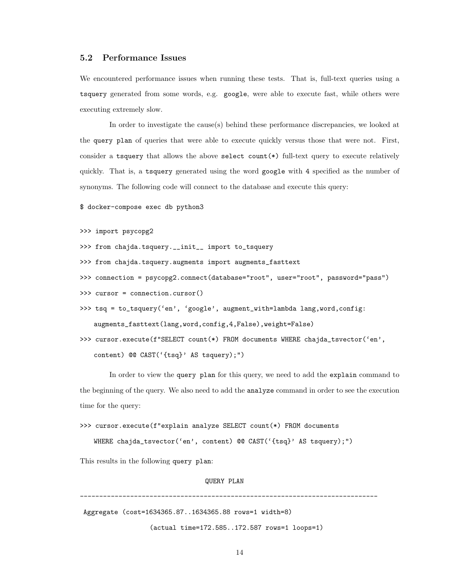#### 5.2 Performance Issues

We encountered performance issues when running these tests. That is, full-text queries using a tsquery generated from some words, e.g. google, were able to execute fast, while others were executing extremely slow.

In order to investigate the cause(s) behind these performance discrepancies, we looked at the query plan of queries that were able to execute quickly versus those that were not. First, consider a tsquery that allows the above select count(\*) full-text query to execute relatively quickly. That is, a tsquery generated using the word google with 4 specified as the number of synonyms. The following code will connect to the database and execute this query:

\$ docker-compose exec db python3

```
>>> import psycopg2
```
- >>> from chajda.tsquery.\_\_init\_\_ import to\_tsquery
- >>> from chajda.tsquery.augments import augments\_fasttext
- >>> connection = psycopg2.connect(database="root", user="root", password="pass")
- >>> cursor = connection.cursor()
- >>> tsq = to\_tsquery('en', 'google', augment\_with=lambda lang,word,config: augments\_fasttext(lang,word,config,4,False),weight=False)
- >>> cursor.execute(f"SELECT count(\*) FROM documents WHERE chajda\_tsvector('en', content) @@ CAST('{tsq}' AS tsquery);")

In order to view the query plan for this query, we need to add the explain command to the beginning of the query. We also need to add the analyze command in order to see the execution time for the query:

```
>>> cursor.execute(f"explain analyze SELECT count(*) FROM documents
```
WHERE chajda\_tsvector('en', content) @@ CAST('{tsq}' AS tsquery);")

This results in the following query plan:

#### QUERY PLAN

-----------------------------------------------------------------------------

Aggregate (cost=1634365.87..1634365.88 rows=1 width=8)

(actual time=172.585..172.587 rows=1 loops=1)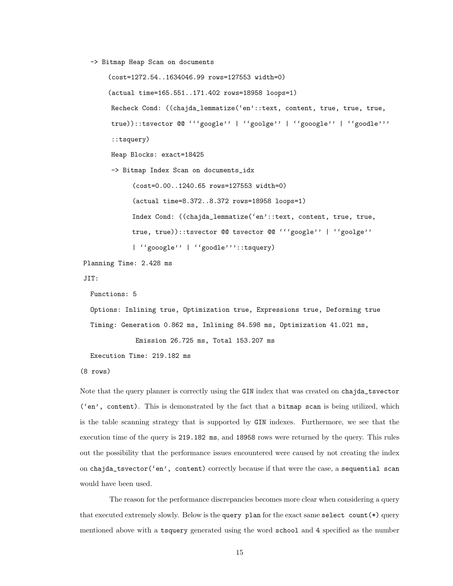-> Bitmap Heap Scan on documents

```
(cost=1272.54..1634046.99 rows=127553 width=0)
      (actual time=165.551..171.402 rows=18958 loops=1)
       Recheck Cond: ((chajda_lemmatize('en'::text, content, true, true, true,
       true))::tsvector @@ '''google'' | ''goolge'' | ''gooogle'' | ''goodle'''
       ::tsquery)
       Heap Blocks: exact=18425
       -> Bitmap Index Scan on documents_idx
             (cost=0.00..1240.65 rows=127553 width=0)
             (actual time=8.372..8.372 rows=18958 loops=1)
            Index Cond: ((chajda_lemmatize('en'::text, content, true, true,
            true, true))::tsvector @@ tsvector @@ '''google'' | ''goolge''
             | ''gooogle'' | ''goodle'''::tsquery)
Planning Time: 2.428 ms
JIT:
 Functions: 5
 Options: Inlining true, Optimization true, Expressions true, Deforming true
 Timing: Generation 0.862 ms, Inlining 84.598 ms, Optimization 41.021 ms,
```
Emission 26.725 ms, Total 153.207 ms

Execution Time: 219.182 ms

(8 rows)

Note that the query planner is correctly using the GIN index that was created on chajda\_tsvector ('en', content). This is demonstrated by the fact that a bitmap scan is being utilized, which is the table scanning strategy that is supported by GIN indexes. Furthermore, we see that the execution time of the query is 219.182 ms, and 18958 rows were returned by the query. This rules out the possibility that the performance issues encountered were caused by not creating the index on chajda\_tsvector('en', content) correctly because if that were the case, a sequential scan would have been used.

The reason for the performance discrepancies becomes more clear when considering a query that executed extremely slowly. Below is the query plan for the exact same select count(\*) query mentioned above with a tsquery generated using the word school and 4 specified as the number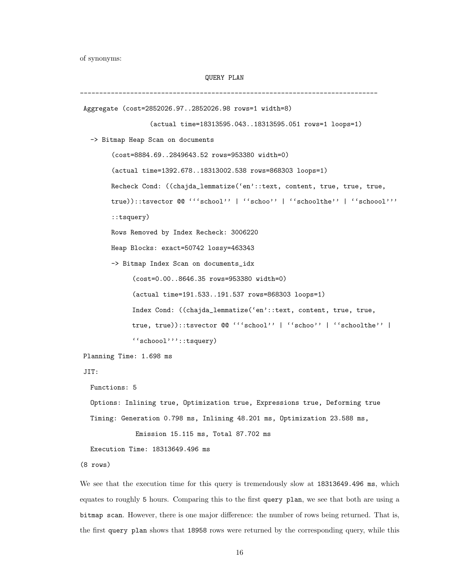of synonyms:

```
QUERY PLAN
```
----------------------------------------------------------------------------- Aggregate (cost=2852026.97..2852026.98 rows=1 width=8) (actual time=18313595.043..18313595.051 rows=1 loops=1) -> Bitmap Heap Scan on documents (cost=8884.69..2849643.52 rows=953380 width=0) (actual time=1392.678..18313002.538 rows=868303 loops=1) Recheck Cond: ((chajda\_lemmatize('en'::text, content, true, true, true, true))::tsvector @@ '''school'' | ''schoo'' | ''schoolthe'' | ''schoool''' ::tsquery) Rows Removed by Index Recheck: 3006220 Heap Blocks: exact=50742 lossy=463343 -> Bitmap Index Scan on documents\_idx (cost=0.00..8646.35 rows=953380 width=0) (actual time=191.533..191.537 rows=868303 loops=1) Index Cond: ((chajda\_lemmatize('en'::text, content, true, true, true, true))::tsvector @@ '''school'' | ''schoo'' | ''schoolthe'' | ''schoool'''::tsquery) Planning Time: 1.698 ms JIT: Functions: 5 Options: Inlining true, Optimization true, Expressions true, Deforming true

Timing: Generation 0.798 ms, Inlining 48.201 ms, Optimization 23.588 ms,

Emission 15.115 ms, Total 87.702 ms

Execution Time: 18313649.496 ms

(8 rows)

We see that the execution time for this query is tremendously slow at 18313649.496 ms, which equates to roughly 5 hours. Comparing this to the first query plan, we see that both are using a bitmap scan. However, there is one major difference: the number of rows being returned. That is, the first query plan shows that 18958 rows were returned by the corresponding query, while this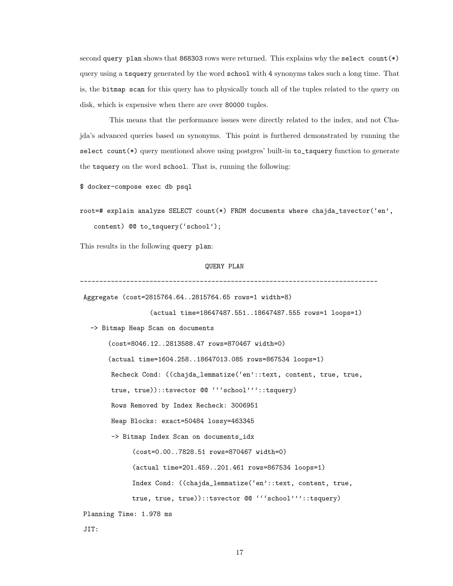second query plan shows that 868303 rows were returned. This explains why the select count(\*) query using a tsquery generated by the word school with 4 synonyms takes such a long time. That is, the bitmap scan for this query has to physically touch all of the tuples related to the query on disk, which is expensive when there are over 80000 tuples.

This means that the performance issues were directly related to the index, and not Chajda's advanced queries based on synonyms. This point is furthered demonstrated by running the select count(\*) query mentioned above using postgres' built-in to\_tsquery function to generate the tsquery on the word school. That is, running the following:

\$ docker-compose exec db psql

```
root=# explain analyze SELECT count(*) FROM documents where chajda_tsvector('en',
   content) @@ to_tsquery('school');
```
This results in the following query plan:

#### QUERY PLAN

-----------------------------------------------------------------------------

Aggregate (cost=2815764.64..2815764.65 rows=1 width=8)

(actual time=18647487.551..18647487.555 rows=1 loops=1)

-> Bitmap Heap Scan on documents

(cost=8046.12..2813588.47 rows=870467 width=0) (actual time=1604.258..18647013.085 rows=867534 loops=1) Recheck Cond: ((chajda\_lemmatize('en'::text, content, true, true, true, true))::tsvector @@ '''school'''::tsquery) Rows Removed by Index Recheck: 3006951 Heap Blocks: exact=50484 lossy=463345 -> Bitmap Index Scan on documents\_idx (cost=0.00..7828.51 rows=870467 width=0) (actual time=201.459..201.461 rows=867534 loops=1) Index Cond: ((chajda\_lemmatize('en'::text, content, true, true, true, true))::tsvector @@ '''school'''::tsquery) Planning Time: 1.978 ms

JIT: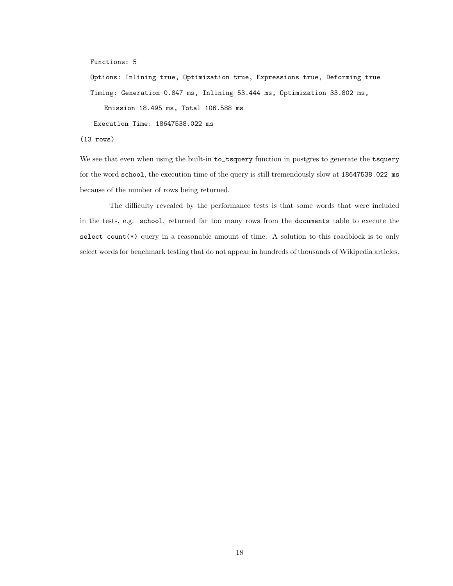Functions: 5

Options: Inlining true, Optimization true, Expressions true, Deforming true Timing: Generation 0.847 ms, Inlining 53.444 ms, Optimization 33.802 ms, Emission 18.495 ms, Total 106.588 ms

Execution Time: 18647538.022 ms

(13 rows)

We see that even when using the built-in to\_tsquery function in postgres to generate the tsquery for the word school, the execution time of the query is still tremendously slow at 18647538.022 ms because of the number of rows being returned.

The difficulty revealed by the performance tests is that some words that were included in the tests, e.g. school, returned far too many rows from the documents table to execute the select count $(*)$  query in a reasonable amount of time. A solution to this roadblock is to only select words for benchmark testing that do not appear in hundreds of thousands of Wikipedia articles.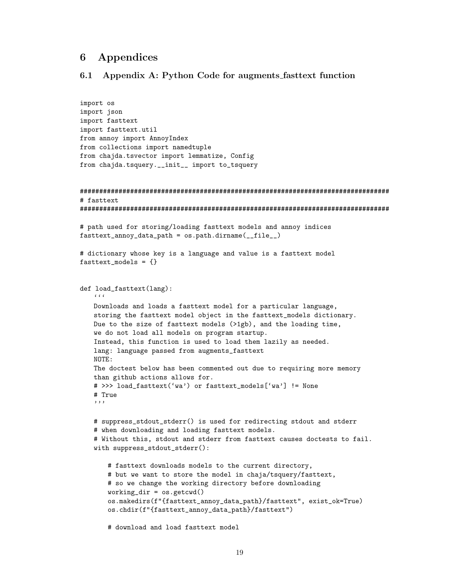## 6 Appendices

#### 6.1 Appendix A: Python Code for augments fasttext function

```
import os
import json
import fasttext
import fasttext.util
from annoy import AnnoyIndex
from collections import namedtuple
from chajda.tsvector import lemmatize, Config
from chajda.tsquery.__init__ import to_tsquery
################################################################################
# fasttext
################################################################################
# path used for storing/loading fasttext models and annoy indices
fasttext_annoy_data_path = os.path.dirname(__file__)
# dictionary whose key is a language and value is a fasttext model
fasttext models = {} {}
def load_fasttext(lang):
   \epsilon \epsilon \epsilonDownloads and loads a fasttext model for a particular language,
   storing the fasttext model object in the fasttext_models dictionary.
   Due to the size of fasttext models (>1gb), and the loading time,
   we do not load all models on program startup.
   Instead, this function is used to load them lazily as needed.
   lang: language passed from augments_fasttext
   NOTE:
   The doctest below has been commented out due to requiring more memory
   than github actions allows for.
   # >>> load_fasttext('wa') or fasttext_models['wa'] != None
   # True
   , , ,
   # suppress_stdout_stderr() is used for redirecting stdout and stderr
   # when downloading and loading fasttext models.
   # Without this, stdout and stderr from fasttext causes doctests to fail.
   with suppress_stdout_stderr():
       # fasttext downloads models to the current directory,
       # but we want to store the model in chaja/tsquery/fasttext,
       # so we change the working directory before downloading
       working\_dir = os.getcwd()os.makedirs(f"{fasttext_annoy_data_path}/fasttext", exist_ok=True)
       os.chdir(f"{fasttext_annoy_data_path}/fasttext")
       # download and load fasttext model
```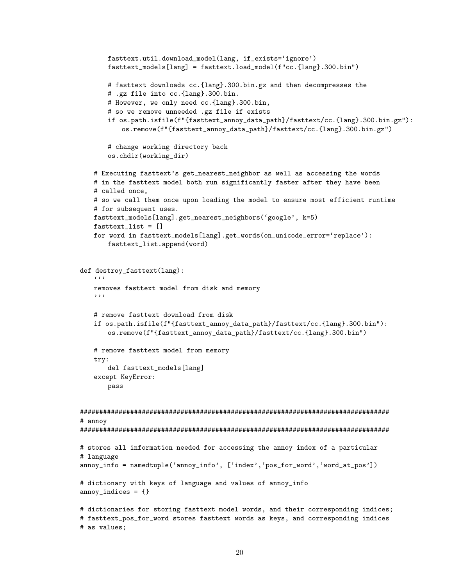```
fasttext.util.download_model(lang, if_exists='ignore')
       fasttext_models[lang] = fasttext.load_model(f"cc.{lang}.300.bin")
       # fasttext downloads cc.{lang}.300.bin.gz and then decompresses the
       # .gz file into cc.{lang}.300.bin.
       # However, we only need cc.{lang}.300.bin,
       # so we remove unneeded .gz file if exists
       if os.path.isfile(f"{fasttext_annoy_data_path}/fasttext/cc.{lang}.300.bin.gz"):
          os.remove(f"{fasttext_annoy_data_path}/fasttext/cc.{lang}.300.bin.gz")
       # change working directory back
       os.chdir(working_dir)
   # Executing fasttext's get_nearest_neighbor as well as accessing the words
   # in the fasttext model both run significantly faster after they have been
   # called once,
   # so we call them once upon loading the model to ensure most efficient runtime
   # for subsequent uses.
   fasttext_models[lang].get_nearest_neighbors('google', k=5)
   fasttext_list = []
   for word in fasttext_models[lang].get_words(on_unicode_error='replace'):
       fasttext_list.append(word)
def destroy_fasttext(lang):
   Cremoves fasttext model from disk and memory
   '''
   # remove fasttext download from disk
   if os.path.isfile(f"{fasttext_annoy_data_path}/fasttext/cc.{lang}.300.bin"):
       os.remove(f"{fasttext_annoy_data_path}/fasttext/cc.{lang}.300.bin")
   # remove fasttext model from memory
   try:
       del fasttext_models[lang]
   except KeyError:
       pass
################################################################################
# annoy
################################################################################
# stores all information needed for accessing the annoy index of a particular
# language
annoy_info = namedtuple('annoy_info', ['index','pos_for_word','word_at_pos'])
# dictionary with keys of language and values of annoy_info
annoy\_indices = \{\}# dictionaries for storing fasttext model words, and their corresponding indices;
# fasttext_pos_for_word stores fasttext words as keys, and corresponding indices
# as values;
```

```
20
```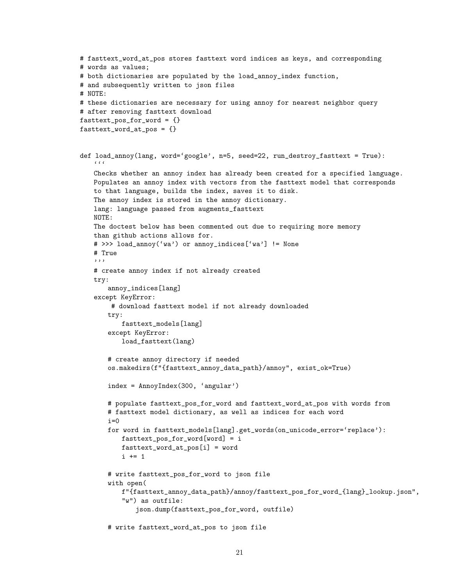```
# fasttext_word_at_pos stores fasttext word indices as keys, and corresponding
# words as values;
# both dictionaries are populated by the load_annoy_index function,
# and subsequently written to json files
# NOTE:
# these dictionaries are necessary for using annoy for nearest neighbor query
# after removing fasttext download
fasttext_pos_for_word = {}
fasttext_words = {}def load_annoy(lang, word='google', n=5, seed=22, run_destroy_fasttext = True):
   c \cdot cChecks whether an annoy index has already been created for a specified language.
   Populates an annoy index with vectors from the fasttext model that corresponds
   to that language, builds the index, saves it to disk.
   The annoy index is stored in the annoy dictionary.
   lang: language passed from augments_fasttext
   NOTE:
   The doctest below has been commented out due to requiring more memory
   than github actions allows for.
   # >>> load_annoy('wa') or annoy_indices['wa'] != None
   # True
   '''
   # create annoy index if not already created
   try:
       annoy_indices[lang]
   except KeyError:
       # download fasttext model if not already downloaded
       try:
          fasttext_models[lang]
       except KeyError:
          load_fasttext(lang)
       # create annoy directory if needed
       os.makedirs(f"{fasttext_annoy_data_path}/annoy", exist_ok=True)
       index = AnnoyIndex(300, 'angular')
       # populate fasttext_pos_for_word and fasttext_word_at_pos with words from
       # fasttext model dictionary, as well as indices for each word
       i=0for word in fasttext_models[lang].get_words(on_unicode_error='replace'):
          fasttext_pos_for_word[word] = i
          fasttext_word_at_pos[i] = word
          i += 1
       # write fasttext_pos_for_word to json file
       with open(
          f"{fasttext_annoy_data_path}/annoy/fasttext_pos_for_word_{lang}_lookup.json",
          "w") as outfile:
              json.dump(fasttext_pos_for_word, outfile)
       # write fasttext_word_at_pos to json file
```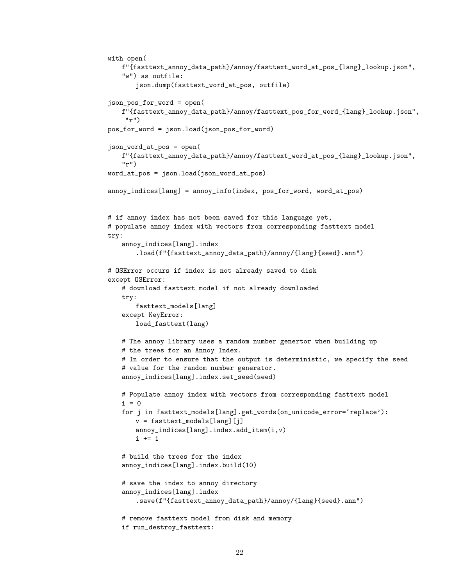```
with open(
   f"{fasttext_annoy_data_path}/annoy/fasttext_word_at_pos_{lang}_lookup.json",
   "w") as outfile:
       json.dump(fasttext_word_at_pos, outfile)
json_pos_for_word = open(
   f"{fasttext_annoy_data_path}/annoy/fasttext_pos_for_word_{lang}_lookup.json",
    "r")
pos_for_word = json.load(json_pos_for_word)
json_word_at_pos = open(
   f"{fasttext_annoy_data_path}/annoy/fasttext_word_at_pos_{lang}_lookup.json",
   "r")
word_at_pos = json.load(json_word_at_pos)
annoy_indices[lang] = annoy_info(index, pos_for_word, word_at_pos)
# if annoy index has not been saved for this language yet,
# populate annoy index with vectors from corresponding fasttext model
try:
   annoy_indices[lang].index
       .load(f"{fasttext_annoy_data_path}/annoy/{lang}{seed}.ann")
# OSError occurs if index is not already saved to disk
except OSError:
   # download fasttext model if not already downloaded
   try:
       fasttext_models[lang]
   except KeyError:
       load_fasttext(lang)
   # The annoy library uses a random number genertor when building up
   # the trees for an Annoy Index.
   # In order to ensure that the output is deterministic, we specify the seed
   # value for the random number generator.
   annoy_indices[lang].index.set_seed(seed)
   # Populate annoy index with vectors from corresponding fasttext model
   i = 0for j in fasttext_models[lang].get_words(on_unicode_error='replace'):
       v = fasttext_models[lang][j]
       annoy_indices[lang].index.add_item(i,v)
       i += 1
   # build the trees for the index
   annoy_indices[lang].index.build(10)
   # save the index to annoy directory
   annoy_indices[lang].index
       .save(f"{fasttext_annoy_data_path}/annoy/{lang}{seed}.ann")
   # remove fasttext model from disk and memory
   if run_destroy_fasttext:
```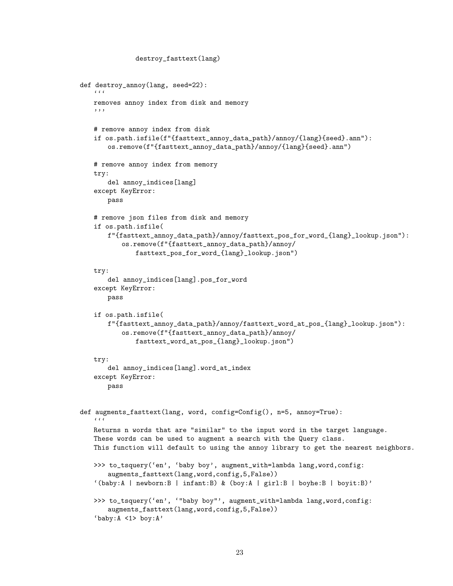```
destroy_fasttext(lang)
def destroy_annoy(lang, seed=22):
   \epsilon \epsilon \epsilonremoves annoy index from disk and memory
   '''
   # remove annoy index from disk
   if os.path.isfile(f"{fasttext_annoy_data_path}/annoy/{lang}{seed}.ann"):
       os.remove(f"{fasttext_annoy_data_path}/annoy/{lang}{seed}.ann")
   # remove annoy index from memory
   try:
       del annoy_indices[lang]
   except KeyError:
       pass
   # remove json files from disk and memory
   if os.path.isfile(
       f"{fasttext_annoy_data_path}/annoy/fasttext_pos_for_word_{lang}_lookup.json"):
           os.remove(f"{fasttext_annoy_data_path}/annoy/
               fasttext_pos_for_word_{lang}_lookup.json")
   try:
       del annoy_indices[lang].pos_for_word
   except KeyError:
       pass
   if os.path.isfile(
       f"{fasttext_annoy_data_path}/annoy/fasttext_word_at_pos_{lang}_lookup.json"):
           os.remove(f"{fasttext_annoy_data_path}/annoy/
               fasttext_word_at_pos_{lang}_lookup.json")
   try:
       del annoy_indices[lang].word_at_index
   except KeyError:
       pass
def augments_fasttext(lang, word, config=Config(), n=5, annoy=True):
   \epsilon \epsilonReturns n words that are "similar" to the input word in the target language.
   These words can be used to augment a search with the Query class.
   This function will default to using the annoy library to get the nearest neighbors.
   >>> to_tsquery('en', 'baby boy', augment_with=lambda lang,word,config:
       augments_fasttext(lang,word,config,5,False))
   '(baby:A | newborn:B | infant:B) & (boy:A | girl:B | boyhe:B | boyit:B)'
   >>> to_tsquery('en', '"baby boy"', augment_with=lambda lang, word, config:
       augments_fasttext(lang,word,config,5,False))
    'baby:A <1> boy:A'
```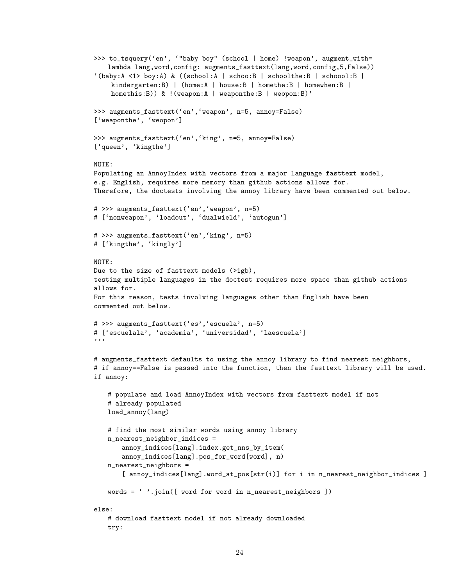```
>>> to_tsquery('en', '"baby boy" (school | home) !weapon', augment_with=
   lambda lang,word,config: augments_fasttext(lang,word,config,5,False))
'(baby:A \le 1) boy:A) & ((school:A \ | \ school:B \ | \ schoolthe:B \ | \ school:B \ |kindergarten:B) | (home:A | house:B | homethe:B | homewhen:B |
    homethis:B)) & !(weapon:A | weaponthe:B | weopon:B)'
>>> augments_fasttext('en','weapon', n=5, annoy=False)
['weaponthe', 'weopon']
>>> augments_fasttext('en','king', n=5, annoy=False)
['queen', 'kingthe']
NOTE:
Populating an AnnoyIndex with vectors from a major language fasttext model,
e.g. English, requires more memory than github actions allows for.
Therefore, the doctests involving the annoy library have been commented out below.
# >>> augments_fasttext('en','weapon', n=5)
# ['nonweapon', 'loadout', 'dualwield', 'autogun']
# >>> augments_fasttext('en','king', n=5)
# ['kingthe', 'kingly']
NOTE:
Due to the size of fasttext models (>1gb),
testing multiple languages in the doctest requires more space than github actions
allows for.
For this reason, tests involving languages other than English have been
commented out below.
# >>> augments_fasttext('es','escuela', n=5)
# ['escuelala', 'academia', 'universidad', 'laescuela']
'''
# augments_fasttext defaults to using the annoy library to find nearest neighbors,
# if annoy==False is passed into the function, then the fasttext library will be used.
if annoy:
   # populate and load AnnoyIndex with vectors from fasttext model if not
   # already populated
   load_annoy(lang)
   # find the most similar words using annoy library
   n_nearest_neighbor_indices =
       annoy_indices[lang].index.get_nns_by_item(
       annoy_indices[lang].pos_for_word[word], n)
   n_nearest_neighbors =
       [ annoy_indices[lang].word_at_pos[str(i)] for i in n_nearest_neighbor_indices ]
   words = ' '.join([ word for word in n_nearest_neighbors ])
else:
   # download fasttext model if not already downloaded
   try:
```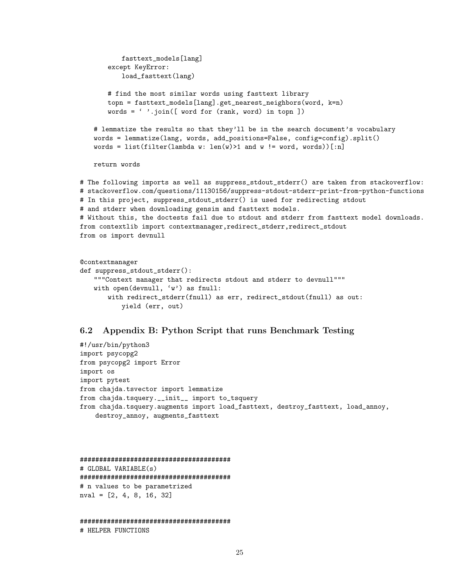```
fasttext_models[lang]
       except KeyError:
           load_fasttext(lang)
       # find the most similar words using fasttext library
       topn = fasttext_models[lang].get_nearest_neighbors(word, k=n)
       words = \lq \lq \lq \lq \lq \lq \lq \lq \lq \lq \lq \lq \lq \lq \lq \lq \lq \lq \lq \lq \lq \lq \lq \lq \lq \lq \lq \lq \lq \lq \lq \lq \lq \lq \lq \l# lemmatize the results so that they'll be in the search document's vocabulary
   words = lemmatize(lang, words, add_positions=False, config=config).split()
   words = list(filter(lambda w: len(w)>1 and w != word, words))[:n]
   return words
# The following imports as well as suppress_stdout_stderr() are taken from stackoverflow:
# stackoverflow.com/questions/11130156/suppress-stdout-stderr-print-from-python-functions
# In this project, suppress_stdout_stderr() is used for redirecting stdout
# and stderr when downloading gensim and fasttext models.
# Without this, the doctests fail due to stdout and stderr from fasttext model downloads.
from contextlib import contextmanager,redirect_stderr,redirect_stdout
from os import devnull
@contextmanager
```

```
def suppress_stdout_stderr():
   """Context manager that redirects stdout and stderr to devnull"""
   with open(devnull, 'w') as fnull:
       with redirect_stderr(fnull) as err, redirect_stdout(fnull) as out:
          yield (err, out)
```
#### 6.2 Appendix B: Python Script that runs Benchmark Testing

#!/usr/bin/python3 import psycopg2 from psycopg2 import Error import os import pytest from chajda.tsvector import lemmatize from chajda.tsquery.\_\_init\_\_ import to\_tsquery from chajda.tsquery.augments import load\_fasttext, destroy\_fasttext, load\_annoy, destroy\_annoy, augments\_fasttext

```
#######################################
# GLOBAL VARIABLE(s)
#######################################
# n values to be parametrized
nval = [2, 4, 8, 16, 32]
```

```
#######################################
# HELPER FUNCTIONS
```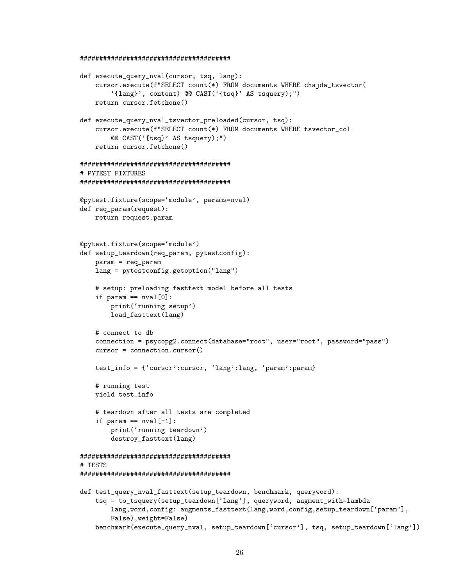#### #######################################

```
def execute_query_nval(cursor, tsq, lang):
    cursor.execute(f"SELECT count(*) FROM documents WHERE chajda_tsvector(
        '{lang}', content) @@ CAST('{tsq}' AS tsquery);")
    return cursor.fetchone()
def execute_query_nval_tsvector_preloaded(cursor, tsq):
    cursor.execute(f"SELECT count(*) FROM documents WHERE tsvector_col
        @@ CAST('{tsq}' AS tsquery);")
    return cursor.fetchone()
#######################################
# PYTEST FIXTURES
#######################################
@pytest.fixture(scope='module', params=nval)
def req_param(request):
   return request.param
@pytest.fixture(scope='module')
def setup_teardown(req_param, pytestconfig):
    param = req_param
    lang = pytestconfig.getoption("lang")
    # setup: preloading fasttext model before all tests
    if param == nval[0]:print('running setup')
        load_fasttext(lang)
    # connect to db
    connection = psycopg2.connect(database="root", user="root", password="pass")
    cursor = connection.cursor()
   test_info = {'cursor':cursor, 'lang':lang, 'param':param}
    # running test
    yield test_info
    # teardown after all tests are completed
    if param == nval[-1]:
        print('running teardown')
        destroy_fasttext(lang)
#######################################
# TESTS
#######################################
def test_query_nval_fasttext(setup_teardown, benchmark, queryword):
    tsq = to_tsquery(setup_teardown['lang'], queryword, augment_with=lambda
        lang,word,config: augments_fasttext(lang,word,config,setup_teardown['param'],
        False),weight=False)
```
benchmark(execute\_query\_nval, setup\_teardown['cursor'], tsq, setup\_teardown['lang'])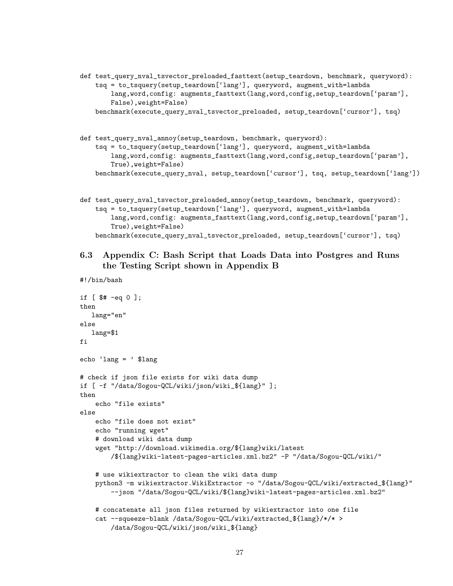- def test\_query\_nval\_tsvector\_preloaded\_fasttext(setup\_teardown, benchmark, queryword): tsq = to\_tsquery(setup\_teardown['lang'], queryword, augment\_with=lambda lang,word,config: augments\_fasttext(lang,word,config,setup\_teardown['param'], False),weight=False) benchmark(execute\_query\_nval\_tsvector\_preloaded, setup\_teardown['cursor'], tsq)
- def test\_query\_nval\_annoy(setup\_teardown, benchmark, queryword): tsq = to\_tsquery(setup\_teardown['lang'], queryword, augment\_with=lambda lang,word,config: augments\_fasttext(lang,word,config,setup\_teardown['param'], True),weight=False) benchmark(execute\_query\_nval, setup\_teardown['cursor'], tsq, setup\_teardown['lang'])
- def test\_query\_nval\_tsvector\_preloaded\_annoy(setup\_teardown, benchmark, queryword): tsq = to\_tsquery(setup\_teardown['lang'], queryword, augment\_with=lambda lang,word,config: augments\_fasttext(lang,word,config,setup\_teardown['param'], True),weight=False) benchmark(execute\_query\_nval\_tsvector\_preloaded, setup\_teardown['cursor'], tsq)
- 6.3 Appendix C: Bash Script that Loads Data into Postgres and Runs the Testing Script shown in Appendix B

```
#!/bin/bash
```

```
if [ $# -eq 0 ];
then
  lang="en"
else
  lang=$1
fi
echo 'lang = ' $lang
# check if json file exists for wiki data dump
if [ -f "/data/Sogou-QCL/wiki/json/wiki_${lang}" ];
then
    echo "file exists"
else
    echo "file does not exist"
    echo "running wget"
    # download wiki data dump
    wget "http://download.wikimedia.org/${lang}wiki/latest
        /${lang}wiki-latest-pages-articles.xml.bz2" -P "/data/Sogou-QCL/wiki/"
    # use wikiextractor to clean the wiki data dump
    python3 -m wikiextractor.WikiExtractor -o "/data/Sogou-QCL/wiki/extracted_${lang}"
        --json "/data/Sogou-QCL/wiki/${lang}wiki-latest-pages-articles.xml.bz2"
    # concatenate all json files returned by wikiextractor into one file
    cat --squeeze-blank /data/Sogou-QCL/wiki/extracted_${lang}/*/* >
        /data/Sogou-QCL/wiki/json/wiki_${lang}
```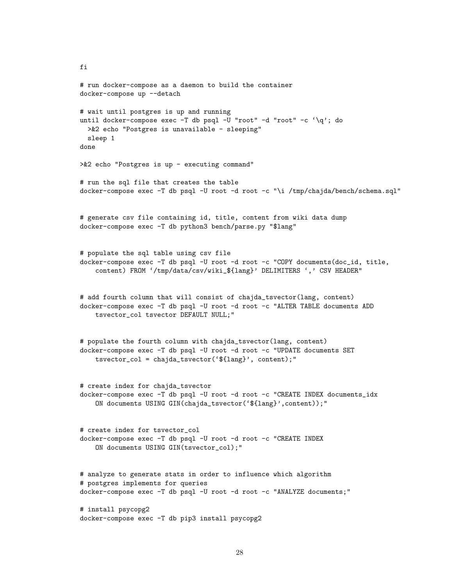```
# run docker-compose as a daemon to build the container
docker-compose up --detach
# wait until postgres is up and running
until docker-compose exec -T db psql -U "root" -d "root" -c '\q'; do
 >&2 echo "Postgres is unavailable - sleeping"
 sleep 1
done
>&2 echo "Postgres is up - executing command"
# run the sql file that creates the table
docker-compose exec -T db psql -U root -d root -c "\i /tmp/chajda/bench/schema.sql"
# generate csv file containing id, title, content from wiki data dump
docker-compose exec -T db python3 bench/parse.py "$lang"
# populate the sql table using csv file
docker-compose exec -T db psql -U root -d root -c "COPY documents(doc_id, title,
    content) FROM '/tmp/data/csv/wiki_${lang}' DELIMITERS ',' CSV HEADER"
# add fourth column that will consist of chajda_tsvector(lang, content)
docker-compose exec -T db psql -U root -d root -c "ALTER TABLE documents ADD
    tsvector_col tsvector DEFAULT NULL;"
# populate the fourth column with chajda_tsvector(lang, content)
docker-compose exec -T db psql -U root -d root -c "UPDATE documents SET
    tsvector_col = chajda_tsvector('${lang}', content);"
# create index for chajda_tsvector
docker-compose exec -T db psql -U root -d root -c "CREATE INDEX documents_idx
    ON documents USING GIN(chajda_tsvector('${lang}',content));"
# create index for tsvector_col
docker-compose exec -T db psql -U root -d root -c "CREATE INDEX
    ON documents USING GIN(tsvector_col);"
# analyze to generate stats in order to influence which algorithm
# postgres implements for queries
docker-compose exec -T db psql -U root -d root -c "ANALYZE documents;"
# install psycopg2
docker-compose exec -T db pip3 install psycopg2
```
fi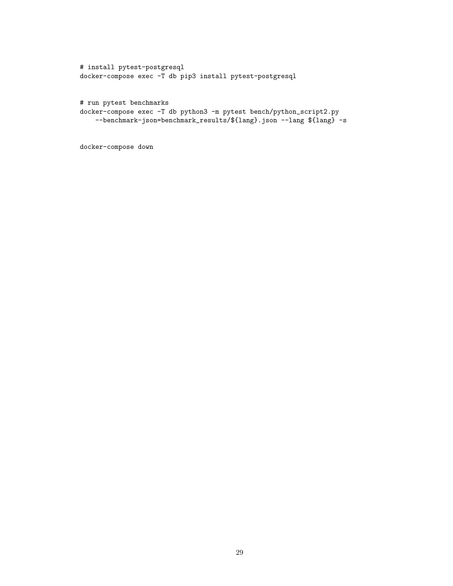```
# install pytest-postgresql
docker-compose exec -T db pip3 install pytest-postgresql
# run pytest benchmarks
docker-compose exec -T db python3 -m pytest bench/python_script2.py
```

```
--benchmark-json=benchmark_results/${lang}.json --lang ${lang} -s
```
docker-compose down